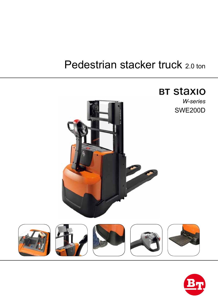# Pedestrian stacker truck 2.0 ton



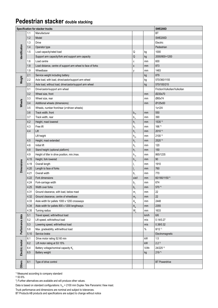### **Pedestrian stacker double stacking**

|                   | <b>SWE200D</b><br>Specification for stacker trucks |                                                             |                                               |      |                              |  |  |
|-------------------|----------------------------------------------------|-------------------------------------------------------------|-----------------------------------------------|------|------------------------------|--|--|
|                   | 1.1                                                | Manufacturer                                                |                                               |      | <b>BT</b>                    |  |  |
|                   | 1.2                                                | Model                                                       |                                               |      | <b>SWE200D</b>               |  |  |
|                   | 1.3                                                | <b>Drive</b>                                                |                                               |      | Electric                     |  |  |
|                   | 1.4                                                | Operator type                                               |                                               |      | Pedestrian                   |  |  |
|                   | 1.5                                                | Load capacity/rated load                                    | Q                                             | kg   | 1000                         |  |  |
| dentification     |                                                    | Support arm capacity/fork and support arm capacity          | Q                                             | kg   | 2000/800+1200                |  |  |
|                   | 1.6                                                | Load centre                                                 | С                                             | mm   | 600                          |  |  |
|                   | 1.8                                                | Load distance, centre of support arm wheel to face of forks | Χ                                             | mm   | 873                          |  |  |
|                   | 1.9                                                | Wheelbase                                                   | у                                             | mm   | 1483                         |  |  |
| Weight            | 2.1                                                | Service weight including battery                            |                                               | kg   | 879                          |  |  |
|                   | 2.2                                                | Axle load, with load, drive/castor/support arm wheel        |                                               | kg   | 570/360/1155                 |  |  |
|                   | 2.3                                                | Axle load, without load, drive/castor/support arm wheel     |                                               | kg   | 570/100/215                  |  |  |
|                   | 3.1                                                | Drive/castor/support arm wheel                              |                                               |      | Friction/Vulkollan/Vulkollan |  |  |
|                   | 3.2                                                | Wheel size, front                                           |                                               | mm   | Ø230x70                      |  |  |
|                   | 3.3                                                | Wheel size, rear                                            |                                               | mm   | Ø85x74                       |  |  |
| Wheels            | 3.4                                                | Additional wheels (dimensions)                              |                                               | mm   | Ø125x50                      |  |  |
|                   | 3.5                                                | Wheels, number front/rear (x=driven wheels)                 |                                               |      | $1x + 2/4$                   |  |  |
|                   | 3.6                                                | Track width, front                                          | $b_{10}$                                      | mm   | 550                          |  |  |
|                   | 3.7                                                | Track width, rear                                           | $b_{11}$                                      | mm   | 390                          |  |  |
|                   | 4.2                                                | Height, mast lowered                                        | $h_{1}$                                       | mm   | 1535 *)                      |  |  |
|                   | 4.3                                                | Free lift                                                   | $\mathsf{h}_{\scriptscriptstyle 2}$           | mm   | 166 *)                       |  |  |
|                   | 4.4                                                | Lift                                                        | h <sub>3</sub>                                | mm   | 2010*                        |  |  |
|                   |                                                    | Lift height                                                 | $h_{23}$                                      | mm   | 2100 *)                      |  |  |
|                   | 4.5                                                | Height, mast extended                                       | h <sub>4</sub>                                | mm   | 2520*                        |  |  |
|                   | 4.6                                                | Initial lift                                                | $\mathsf{h}_{\scriptscriptstyle{5}}$          | mm   | 120                          |  |  |
|                   | 4.8                                                | Stand height (optional platform)                            | h <sub>7</sub>                                | mm   | 150                          |  |  |
|                   | 4.9                                                | Height of tiller in drive position, min./max.               | $\mathsf{h}_{_{14}}$                          | mm   | 865/1235                     |  |  |
|                   | 4.15                                               | Height, fork lowered                                        | $h_{13}$                                      | mm   | 90                           |  |  |
|                   | 4.19                                               | Overall length                                              |                                               | mm   | 1910                         |  |  |
| <b>Dimensions</b> | 4.20                                               | Length to face of forks                                     |                                               | mm   | 760                          |  |  |
|                   | 4.21                                               | Overall width                                               | $\mathsf{b}_{\scriptscriptstyle{1}}$          | mm   | 770                          |  |  |
|                   | 4.22                                               | Fork dimensions                                             | s/e/l                                         | mm   | 60/180/1150*)                |  |  |
|                   | 4.24                                               | Fork-carriage width                                         | $\mathsf{b}_\mathsf{3}$                       | mm   | 674                          |  |  |
|                   | 4.25                                               | Width over forks                                            | b <sub>5</sub>                                | mm   | 570 *)                       |  |  |
|                   | 4.31                                               | Ground clearance, with load, below mast                     | m <sub>1</sub>                                | mm   | 22                           |  |  |
|                   | 4.32                                               | Ground clearance, centre of wheelbase                       | m <sub>2</sub>                                | mm   | 22                           |  |  |
|                   | 4.33                                               | Aisle width for pallets 1000 x 1200 crossways               | $\mathsf{A}_{\mathsf{st}}$                    | mm   | 2448                         |  |  |
|                   | 4.34                                               | Aisle width for pallets 800 x 1200 lengthways               | $\mathsf{A}_{\mathsf{st}}$                    | mm   | 2355                         |  |  |
|                   | 4.35                                               | Turning radius                                              | $\mathsf{W}_{\scriptscriptstyle{\mathsf{a}}}$ | mm   | 1633                         |  |  |
|                   | 5.1                                                | Travel speed, with/without load                             |                                               | km/h | 6/6                          |  |  |
|                   | 5.2                                                | Lift speed, with/without load                               |                                               | m/s  | 0.14/0.27                    |  |  |
| Performance data  | 5.3                                                | Lowering speed, with/without load                           |                                               | m/s  | 0.38/0.32                    |  |  |
|                   | 5.8                                                | Max. gradeability, with/without load                        |                                               | $\%$ | $8/12$ <sup>1)</sup>         |  |  |
|                   | 5.10                                               | Service brake                                               |                                               |      | Electromagnetic              |  |  |
| Electric motor    | 6.1                                                | Drive motor rating S2 60 min                                |                                               | kW   | 1.5                          |  |  |
|                   | 6.2                                                | Lift motor rating at S3 15%                                 |                                               | kW   | $2.2$ <sup>2)</sup>          |  |  |
|                   | 6.4                                                | Battery voltage/nominal capacity K <sub>5</sub>             |                                               | V/Ah | 24/225 *)                    |  |  |
|                   | 6.5                                                | Battery weight                                              |                                               | kg   | $219 *$                      |  |  |
|                   |                                                    |                                                             |                                               |      |                              |  |  |
| <b>Others</b>     | 8.1                                                | Type of drive control                                       |                                               |      | <b>BT</b> Powerdrive         |  |  |
|                   |                                                    |                                                             |                                               |      |                              |  |  |

1) Measured according to company standard

2) S3 6%

\*) Further alternatives are available and will produce other values.

Data is based on standard configurations:  $h_{23} = 2100$  mm Duplex Tele Panoramic View mast.

Truck performance and dimensions are nominal and subject to tolerances.

BT Products AB products and specifications are subject to change without notice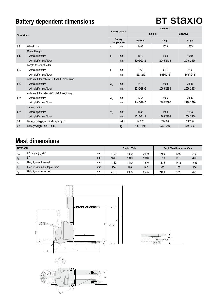### **Battery dependent dimensions**

## **BT Staxio**

| <b>Dimensions</b> |                                             | <b>Battery change</b> |                               | <b>SWE200D</b> |                 |             |  |  |
|-------------------|---------------------------------------------|-----------------------|-------------------------------|----------------|-----------------|-------------|--|--|
|                   |                                             |                       |                               | Lift out       | <b>Sideways</b> |             |  |  |
|                   |                                             |                       | <b>Battery</b><br>compartment | <b>Medium</b>  | Large           | Large       |  |  |
| 1.9               | Wheelbase                                   | V                     | mm                            | 1483           | 1533            | 1533        |  |  |
|                   | Overall length                              |                       |                               |                |                 |             |  |  |
| 4.19              | without platform                            | $\mathbf{I}_{1}$      | mm                            | 1910           | 1960            | 1960        |  |  |
|                   | with platform up/down                       |                       | mm                            | 1995/2385      | 2045/2435       | 2045/2435   |  |  |
|                   | Length to face of forks                     |                       |                               |                |                 |             |  |  |
| 4.20              | without platform                            | $\mathsf{I}_2$        | mm                            | 760            | 810             | 810         |  |  |
|                   | with platform up/down                       |                       | mm                            | 853/1243       | 853/1243        | 853/1243    |  |  |
|                   | Aisle width for pallets 1000x1200 crossways |                       |                               |                |                 |             |  |  |
| 4.33              | without platform                            | A <sub>st</sub>       | mm                            | 2448           | 2498            | 2498        |  |  |
|                   | with platform up/down                       |                       | mm                            | 2533/2933      | 2583/2983       | 2586/2983   |  |  |
|                   | Aisle width for pallets 800x1200 lengthways |                       |                               |                |                 |             |  |  |
| 4.34              | without platform                            | $A_{st}$              | mm                            | 2355           | 2405            | 2405        |  |  |
|                   | with platform up/down                       |                       | mm                            | 2440/2840      | 2490/2890       | 2490/2890   |  |  |
|                   | Turning radius                              |                       |                               |                |                 |             |  |  |
| 4.35              | without platform                            | $W_a$                 | mm                            | 1633           | 1683            | 1683        |  |  |
|                   | with platform up/down                       |                       | mm                            | 1718/2118      | 1768/2168       | 1768/2168   |  |  |
| 6.4               | Battery voltage, nominal capacity K.        |                       | V/Ah                          | 24/225         | 24/300          | 24/260      |  |  |
| 6.5               | Battery weight, min.-max.                   |                       | kg                            | 189-250        | $230 - 280$     | $209 - 250$ |  |  |

### **Mast dimensions**

| SWE200D  |                                   |    | <b>Duplex Tele</b> |      |      | Dupl. Tele Panoram. View |      |      |
|----------|-----------------------------------|----|--------------------|------|------|--------------------------|------|------|
| $h_{23}$ | Lift height $(h_{12}+h_{2})$      | mm | 1700               | 1900 | 2100 | 1700                     | 1900 | 2100 |
| $ h_3$   | Lift                              | mm | 1610               | 1810 | 2010 | 1610                     | 1810 | 2010 |
| ۱h.      | Height, mast lowered              | mm | 1340               | 1440 | 1540 | 1335                     | 1435 | 1535 |
| $ h_{2}$ | Free lift, ground to top of forks | mm | 166                | 166  | 166  | 166                      | 166  | 166  |
| ١h,      | Height, mast extended             | mm | 2125               | 2325 | 2525 | 2120                     | 2320 | 2520 |